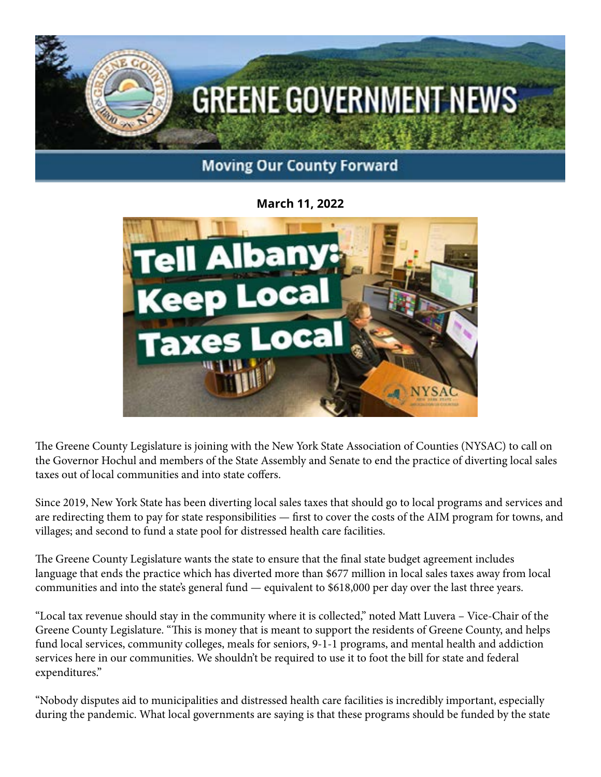

## **March 11, 2022**



The Greene County Legislature is joining with the New York State Association of Counties (NYSAC) to call on the Governor Hochul and members of the State Assembly and Senate to end the practice of diverting local sales taxes out of local communities and into state coffers.

Since 2019, New York State has been diverting local sales taxes that should go to local programs and services and are redirecting them to pay for state responsibilities — first to cover the costs of the AIM program for towns, and villages; and second to fund a state pool for distressed health care facilities.

The Greene County Legislature wants the state to ensure that the final state budget agreement includes language that ends the practice which has diverted more than \$677 million in local sales taxes away from local communities and into the state's general fund — equivalent to \$618,000 per day over the last three years.

"Local tax revenue should stay in the community where it is collected," noted Matt Luvera – Vice-Chair of the Greene County Legislature. "This is money that is meant to support the residents of Greene County, and helps fund local services, community colleges, meals for seniors, 9-1-1 programs, and mental health and addiction services here in our communities. We shouldn't be required to use it to foot the bill for state and federal expenditures."

"Nobody disputes aid to municipalities and distressed health care facilities is incredibly important, especially during the pandemic. What local governments are saying is that these programs should be funded by the state